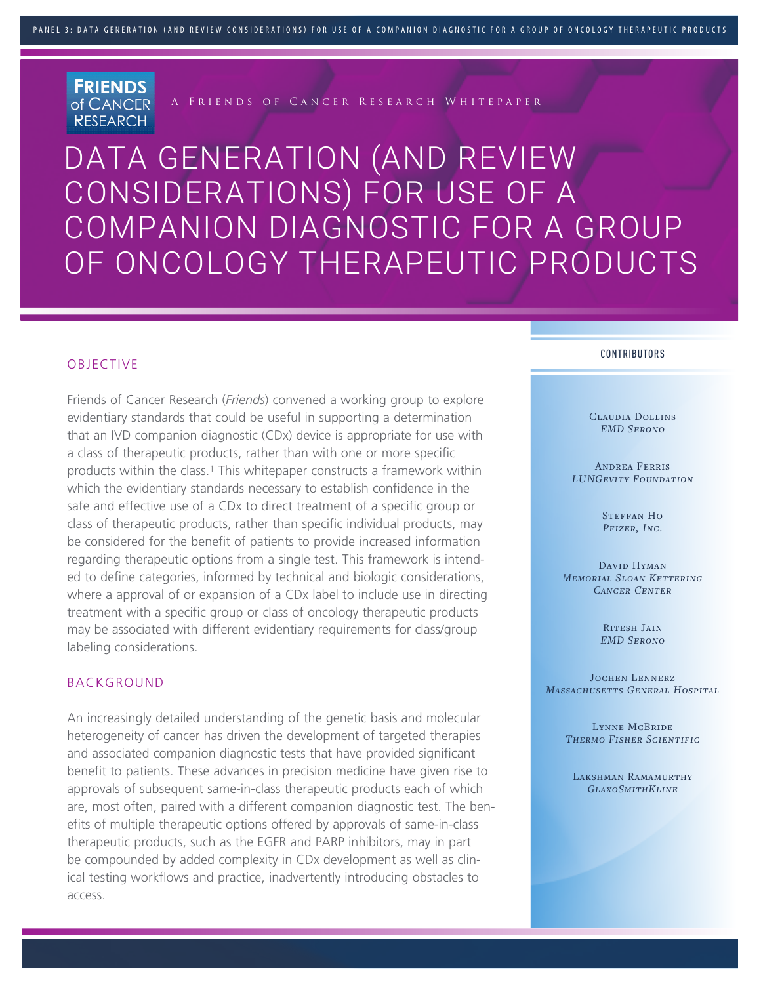**FRIENDS** of CANCER **RESEARCH** 

A Friends of Cancer Research Whitepaper

DATA GENERATION (AND REVIEW CONSIDERATIONS) FOR USE OF A COMPANION DIAGNOSTIC FOR A GROUP OF ONCOLOGY THERAPEUTIC PRODUCTS

### OBJECTIVE

Friends of Cancer Research (*Friends*) convened a working group to explore evidentiary standards that could be useful in supporting a determination that an IVD companion diagnostic (CDx) device is appropriate for use with a class of therapeutic products, rather than with one or more specific products within the class.<sup>1</sup> This whitepaper constructs a framework within which the evidentiary standards necessary to establish confidence in the safe and effective use of a CDx to direct treatment of a specific group or class of therapeutic products, rather than specific individual products, may be considered for the benefit of patients to provide increased information regarding therapeutic options from a single test. This framework is intended to define categories, informed by technical and biologic considerations, where a approval of or expansion of a CDx label to include use in directing treatment with a specific group or class of oncology therapeutic products may be associated with different evidentiary requirements for class/group labeling considerations.

## BACKGROUND

An increasingly detailed understanding of the genetic basis and molecular heterogeneity of cancer has driven the development of targeted therapies and associated companion diagnostic tests that have provided significant benefit to patients. These advances in precision medicine have given rise to approvals of subsequent same-in-class therapeutic products each of which are, most often, paired with a different companion diagnostic test. The benefits of multiple therapeutic options offered by approvals of same-in-class therapeutic products, such as the EGFR and PARP inhibitors, may in part be compounded by added complexity in CDx development as well as clinical testing workflows and practice, inadvertently introducing obstacles to access.

#### CONTRIBUTORS

Claudia Dollins *EMD Serono*

Andrea Ferris *LUNGevity Foundation* 

> STEFFAN HO *Pfizer, Inc.*

David Hyman *Memorial Sloan Kettering Cancer Center*

> RITESH JAIN *EMD Serono*

Jochen Lennerz *Massachusetts General Hospital*

> Lynne McBride *Thermo Fisher Scientific*

LAKSHMAN RAMAMURTHY *GlaxoSmithKline*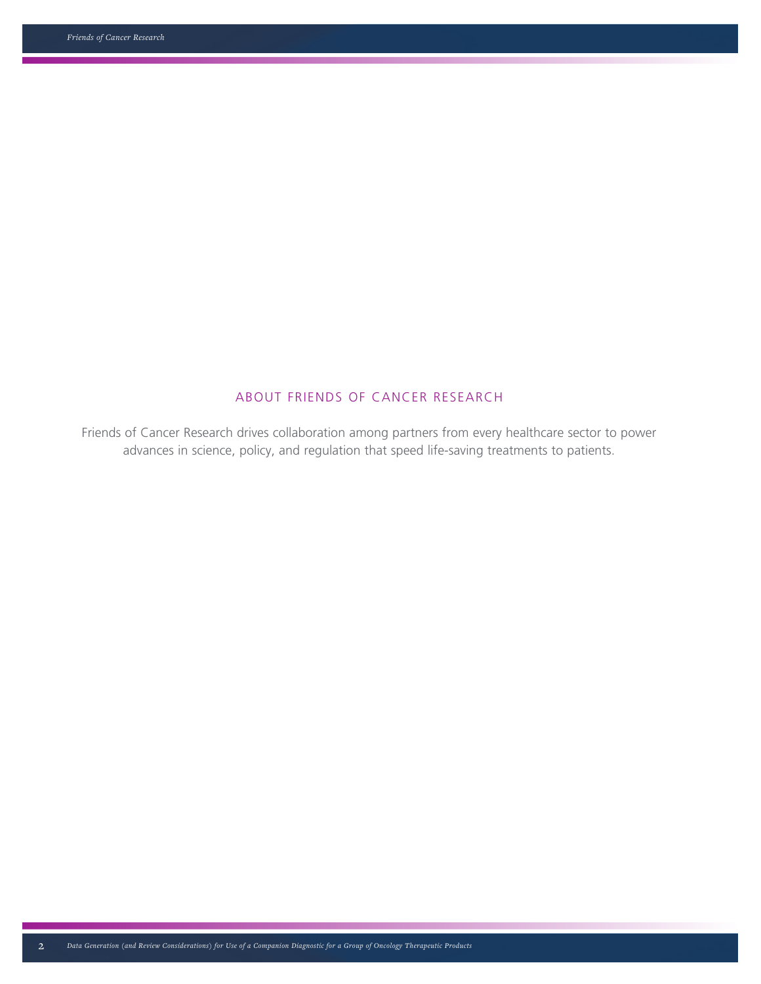## ABOUT FRIENDS OF CANCER RESEARCH

Friends of Cancer Research drives collaboration among partners from every healthcare sector to power advances in science, policy, and regulation that speed life-saving treatments to patients.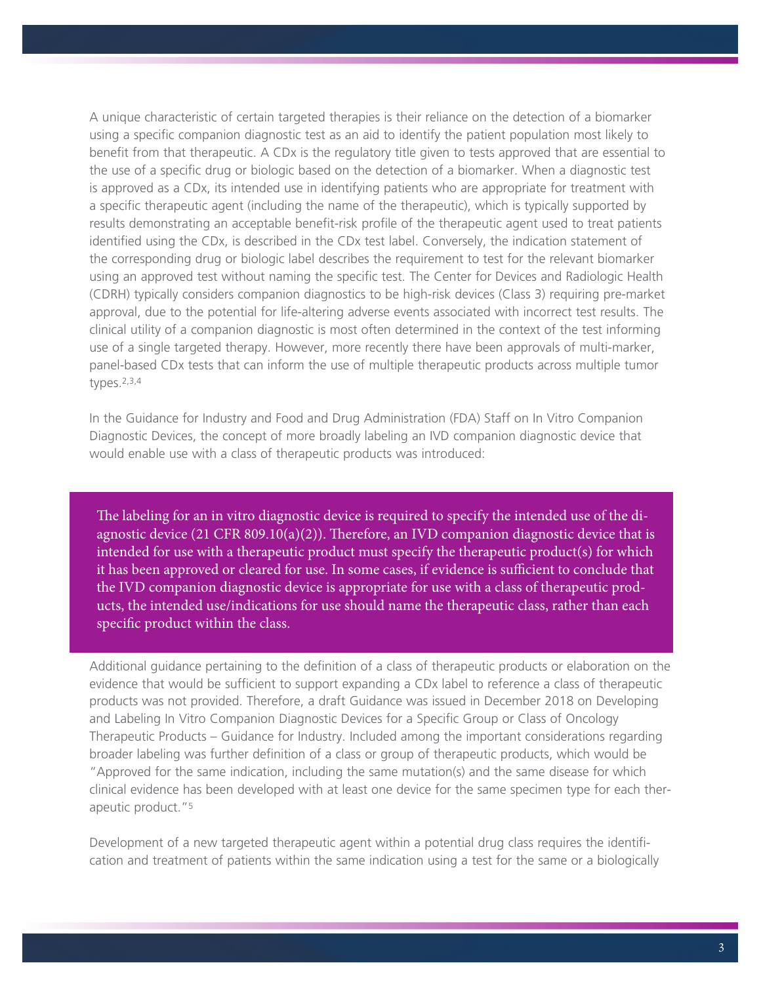A unique characteristic of certain targeted therapies is their reliance on the detection of a biomarker using a specific companion diagnostic test as an aid to identify the patient population most likely to benefit from that therapeutic. A CDx is the regulatory title given to tests approved that are essential to the use of a specific drug or biologic based on the detection of a biomarker. When a diagnostic test is approved as a CDx, its intended use in identifying patients who are appropriate for treatment with a specific therapeutic agent (including the name of the therapeutic), which is typically supported by results demonstrating an acceptable benefit-risk profile of the therapeutic agent used to treat patients identified using the CDx, is described in the CDx test label. Conversely, the indication statement of the corresponding drug or biologic label describes the requirement to test for the relevant biomarker using an approved test without naming the specific test. The Center for Devices and Radiologic Health (CDRH) typically considers companion diagnostics to be high-risk devices (Class 3) requiring pre-market approval, due to the potential for life-altering adverse events associated with incorrect test results. The clinical utility of a companion diagnostic is most often determined in the context of the test informing use of a single targeted therapy. However, more recently there have been approvals of multi-marker, panel-based CDx tests that can inform the use of multiple therapeutic products across multiple tumor types.2,3,4

In the Guidance for Industry and Food and Drug Administration (FDA) Staff on In Vitro Companion Diagnostic Devices, the concept of more broadly labeling an IVD companion diagnostic device that would enable use with a class of therapeutic products was introduced:

The labeling for an in vitro diagnostic device is required to specify the intended use of the diagnostic device (21 CFR 809.10(a)(2)). Therefore, an IVD companion diagnostic device that is intended for use with a therapeutic product must specify the therapeutic product(s) for which it has been approved or cleared for use. In some cases, if evidence is sufficient to conclude that the IVD companion diagnostic device is appropriate for use with a class of therapeutic products, the intended use/indications for use should name the therapeutic class, rather than each specific product within the class.

Additional guidance pertaining to the definition of a class of therapeutic products or elaboration on the evidence that would be sufficient to support expanding a CDx label to reference a class of therapeutic products was not provided. Therefore, a draft Guidance was issued in December 2018 on Developing and Labeling In Vitro Companion Diagnostic Devices for a Specific Group or Class of Oncology Therapeutic Products – Guidance for Industry. Included among the important considerations regarding broader labeling was further definition of a class or group of therapeutic products, which would be "Approved for the same indication, including the same mutation(s) and the same disease for which clinical evidence has been developed with at least one device for the same specimen type for each therapeutic product."5

Development of a new targeted therapeutic agent within a potential drug class requires the identification and treatment of patients within the same indication using a test for the same or a biologically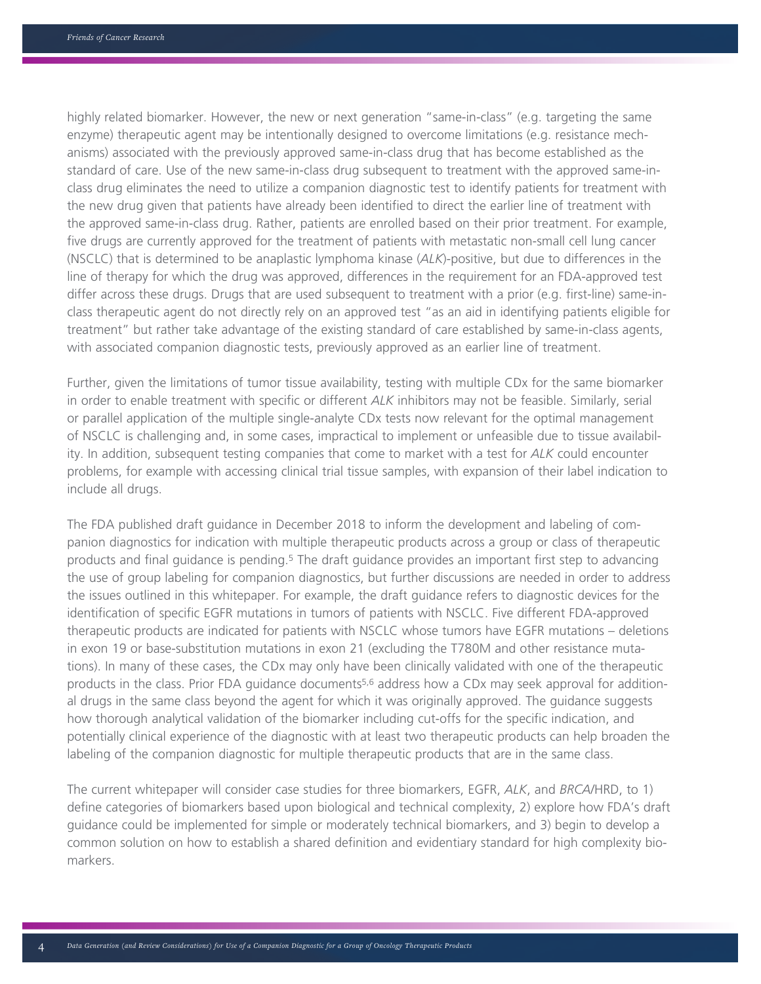highly related biomarker. However, the new or next generation "same-in-class" (e.g. targeting the same enzyme) therapeutic agent may be intentionally designed to overcome limitations (e.g. resistance mechanisms) associated with the previously approved same-in-class drug that has become established as the standard of care. Use of the new same-in-class drug subsequent to treatment with the approved same-inclass drug eliminates the need to utilize a companion diagnostic test to identify patients for treatment with the new drug given that patients have already been identified to direct the earlier line of treatment with the approved same-in-class drug. Rather, patients are enrolled based on their prior treatment. For example, five drugs are currently approved for the treatment of patients with metastatic non-small cell lung cancer (NSCLC) that is determined to be anaplastic lymphoma kinase (*ALK*)-positive, but due to differences in the line of therapy for which the drug was approved, differences in the requirement for an FDA-approved test differ across these drugs. Drugs that are used subsequent to treatment with a prior (e.g. first-line) same-inclass therapeutic agent do not directly rely on an approved test "as an aid in identifying patients eligible for treatment" but rather take advantage of the existing standard of care established by same-in-class agents, with associated companion diagnostic tests, previously approved as an earlier line of treatment.

Further, given the limitations of tumor tissue availability, testing with multiple CDx for the same biomarker in order to enable treatment with specific or different *ALK* inhibitors may not be feasible. Similarly, serial or parallel application of the multiple single-analyte CDx tests now relevant for the optimal management of NSCLC is challenging and, in some cases, impractical to implement or unfeasible due to tissue availability. In addition, subsequent testing companies that come to market with a test for *ALK* could encounter problems, for example with accessing clinical trial tissue samples, with expansion of their label indication to include all drugs.

The FDA published draft guidance in December 2018 to inform the development and labeling of companion diagnostics for indication with multiple therapeutic products across a group or class of therapeutic products and final guidance is pending.<sup>5</sup> The draft guidance provides an important first step to advancing the use of group labeling for companion diagnostics, but further discussions are needed in order to address the issues outlined in this whitepaper. For example, the draft guidance refers to diagnostic devices for the identification of specific EGFR mutations in tumors of patients with NSCLC. Five different FDA-approved therapeutic products are indicated for patients with NSCLC whose tumors have EGFR mutations – deletions in exon 19 or base-substitution mutations in exon 21 (excluding the T780M and other resistance mutations). In many of these cases, the CDx may only have been clinically validated with one of the therapeutic products in the class. Prior FDA guidance documents5,6 address how a CDx may seek approval for additional drugs in the same class beyond the agent for which it was originally approved. The guidance suggests how thorough analytical validation of the biomarker including cut-offs for the specific indication, and potentially clinical experience of the diagnostic with at least two therapeutic products can help broaden the labeling of the companion diagnostic for multiple therapeutic products that are in the same class.

The current whitepaper will consider case studies for three biomarkers, EGFR, *ALK*, and *BRCA*/HRD, to 1) define categories of biomarkers based upon biological and technical complexity, 2) explore how FDA's draft guidance could be implemented for simple or moderately technical biomarkers, and 3) begin to develop a common solution on how to establish a shared definition and evidentiary standard for high complexity biomarkers.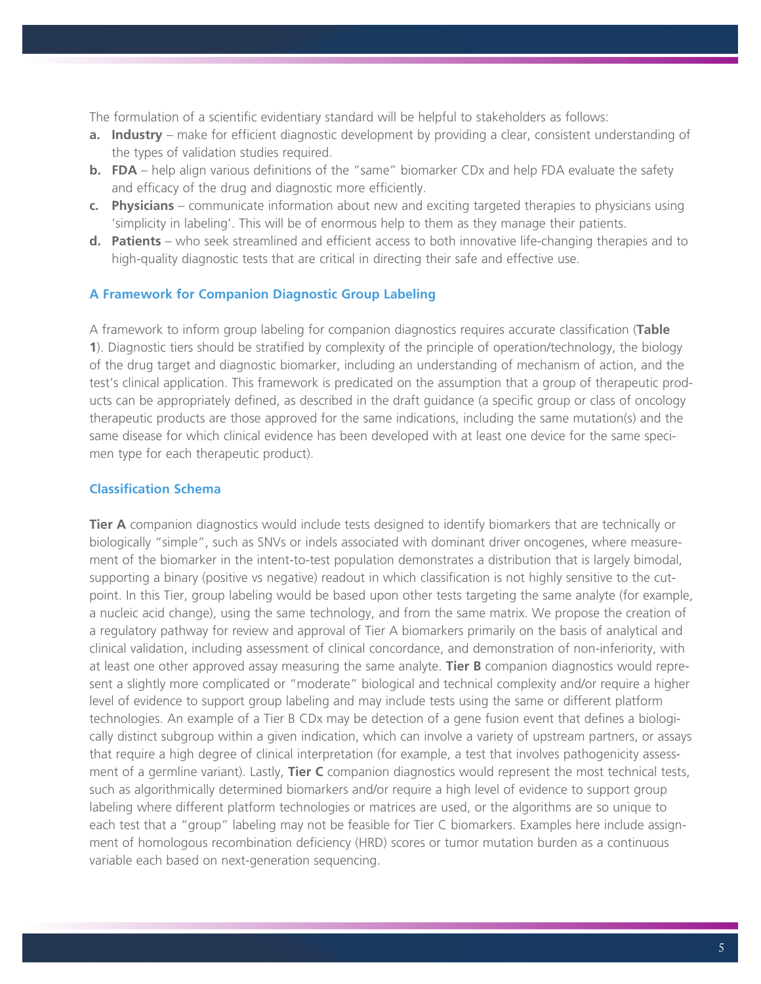The formulation of a scientific evidentiary standard will be helpful to stakeholders as follows:

- **a. Industry** make for efficient diagnostic development by providing a clear, consistent understanding of the types of validation studies required.
- **b. FDA** help align various definitions of the "same" biomarker CDx and help FDA evaluate the safety and efficacy of the drug and diagnostic more efficiently.
- **c. Physicians** communicate information about new and exciting targeted therapies to physicians using 'simplicity in labeling'. This will be of enormous help to them as they manage their patients.
- **d. Patients** who seek streamlined and efficient access to both innovative life-changing therapies and to high-quality diagnostic tests that are critical in directing their safe and effective use.

### **A Framework for Companion Diagnostic Group Labeling**

A framework to inform group labeling for companion diagnostics requires accurate classification (**Table 1**). Diagnostic tiers should be stratified by complexity of the principle of operation/technology, the biology of the drug target and diagnostic biomarker, including an understanding of mechanism of action, and the test's clinical application. This framework is predicated on the assumption that a group of therapeutic products can be appropriately defined, as described in the draft guidance (a specific group or class of oncology therapeutic products are those approved for the same indications, including the same mutation(s) and the same disease for which clinical evidence has been developed with at least one device for the same specimen type for each therapeutic product).

### **Classification Schema**

**Tier A** companion diagnostics would include tests designed to identify biomarkers that are technically or biologically "simple", such as SNVs or indels associated with dominant driver oncogenes, where measurement of the biomarker in the intent-to-test population demonstrates a distribution that is largely bimodal, supporting a binary (positive vs negative) readout in which classification is not highly sensitive to the cutpoint. In this Tier, group labeling would be based upon other tests targeting the same analyte (for example, a nucleic acid change), using the same technology, and from the same matrix. We propose the creation of a regulatory pathway for review and approval of Tier A biomarkers primarily on the basis of analytical and clinical validation, including assessment of clinical concordance, and demonstration of non-inferiority, with at least one other approved assay measuring the same analyte. **Tier B** companion diagnostics would represent a slightly more complicated or "moderate" biological and technical complexity and/or require a higher level of evidence to support group labeling and may include tests using the same or different platform technologies. An example of a Tier B CDx may be detection of a gene fusion event that defines a biologically distinct subgroup within a given indication, which can involve a variety of upstream partners, or assays that require a high degree of clinical interpretation (for example, a test that involves pathogenicity assessment of a germline variant). Lastly, **Tier C** companion diagnostics would represent the most technical tests, such as algorithmically determined biomarkers and/or require a high level of evidence to support group labeling where different platform technologies or matrices are used, or the algorithms are so unique to each test that a "group" labeling may not be feasible for Tier C biomarkers. Examples here include assignment of homologous recombination deficiency (HRD) scores or tumor mutation burden as a continuous variable each based on next-generation sequencing.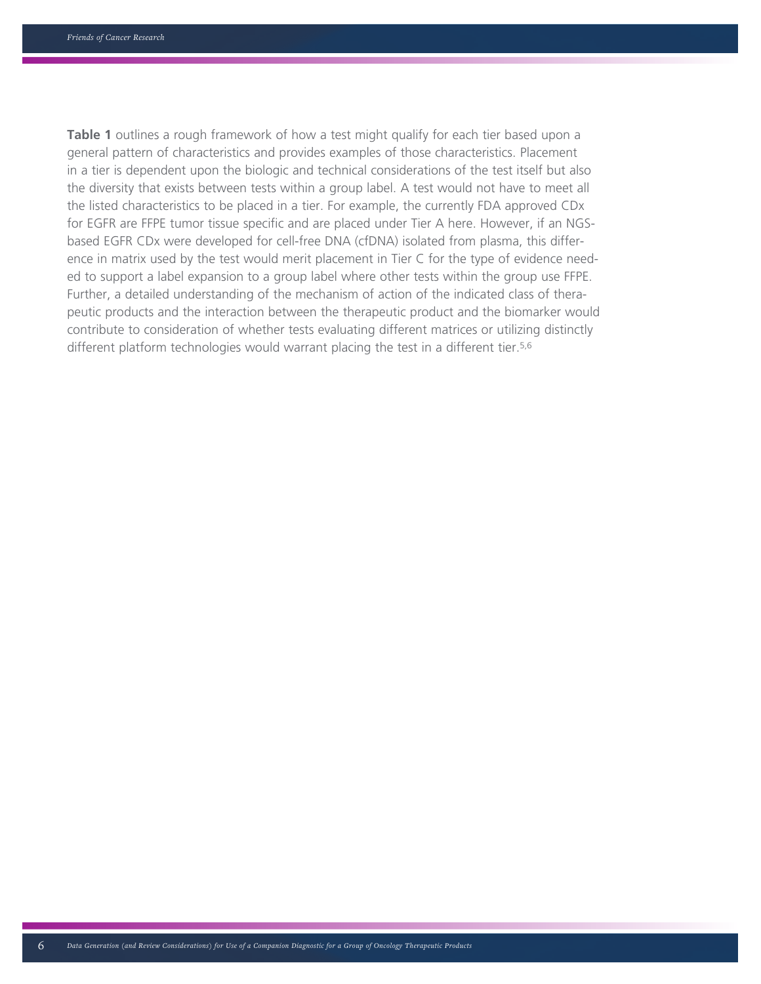**Table 1** outlines a rough framework of how a test might qualify for each tier based upon a general pattern of characteristics and provides examples of those characteristics. Placement in a tier is dependent upon the biologic and technical considerations of the test itself but also the diversity that exists between tests within a group label. A test would not have to meet all the listed characteristics to be placed in a tier. For example, the currently FDA approved CDx for EGFR are FFPE tumor tissue specific and are placed under Tier A here. However, if an NGSbased EGFR CDx were developed for cell-free DNA (cfDNA) isolated from plasma, this difference in matrix used by the test would merit placement in Tier C for the type of evidence needed to support a label expansion to a group label where other tests within the group use FFPE. Further, a detailed understanding of the mechanism of action of the indicated class of therapeutic products and the interaction between the therapeutic product and the biomarker would contribute to consideration of whether tests evaluating different matrices or utilizing distinctly different platform technologies would warrant placing the test in a different tier.<sup>5,6</sup>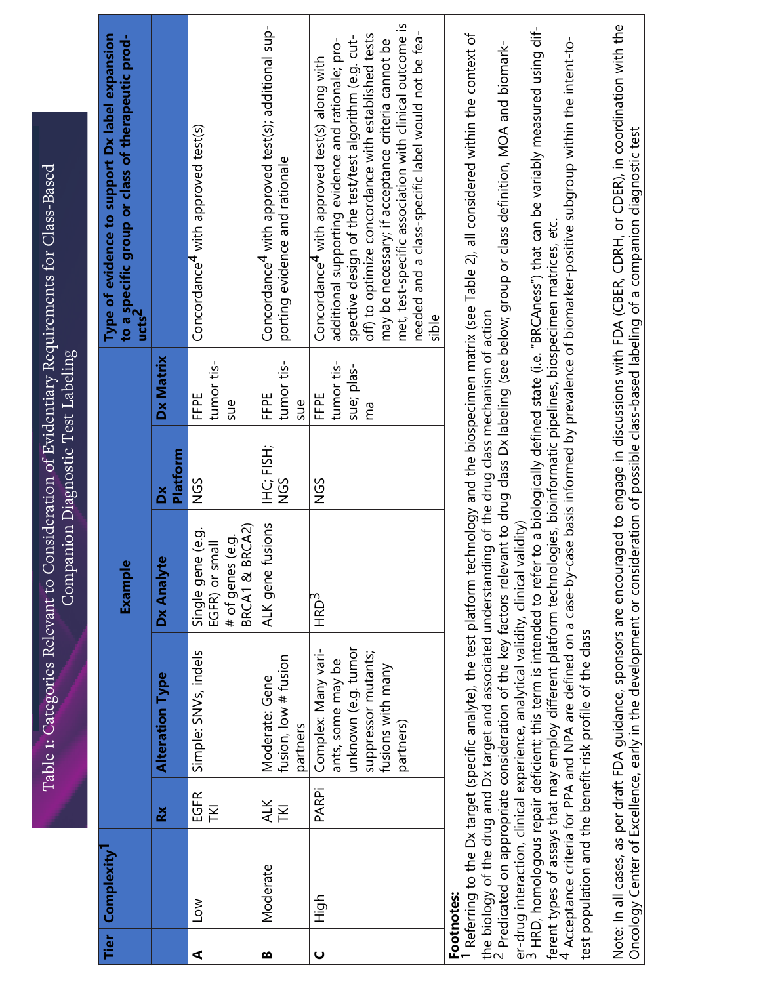|   | Tier   Complexity <sup> </sup> |                               |                                                                                                                                                                                                                                                                                                                                                                                                                                                     | Example                                                                     |                          |                                        | Type of evidence to support Dx label expansion<br>to a specific group or class of therapeutic prod-<br>ucts <sup>2</sup>                                                                                                                                                                                                                                                                                                                                                                                                                                                                           |  |
|---|--------------------------------|-------------------------------|-----------------------------------------------------------------------------------------------------------------------------------------------------------------------------------------------------------------------------------------------------------------------------------------------------------------------------------------------------------------------------------------------------------------------------------------------------|-----------------------------------------------------------------------------|--------------------------|----------------------------------------|----------------------------------------------------------------------------------------------------------------------------------------------------------------------------------------------------------------------------------------------------------------------------------------------------------------------------------------------------------------------------------------------------------------------------------------------------------------------------------------------------------------------------------------------------------------------------------------------------|--|
|   |                                | $\boldsymbol{\breve{\alpha}}$ | <b>Alteration Type</b>                                                                                                                                                                                                                                                                                                                                                                                                                              | Φ<br>Dx Analyt                                                              | <b>Platform</b><br>ă     | Dx Matrix                              |                                                                                                                                                                                                                                                                                                                                                                                                                                                                                                                                                                                                    |  |
| ⋖ | $\geq$                         | EGFR<br><b>INI</b>            | Simple: SNV <sub>S, indels</sub>                                                                                                                                                                                                                                                                                                                                                                                                                    | BRCA2)<br>Single gene (e.g.<br># of genes (e.g.<br>EGFR) or small<br>BRCA1& | SDN                      | tumor tis-<br>FFPE<br>sue              | Concordance <sup>4</sup> with approved test(s)                                                                                                                                                                                                                                                                                                                                                                                                                                                                                                                                                     |  |
| m | Moderate                       | <b>ALK</b><br><b>INL</b>      | fusion, low # fusion<br>Moderate: Gene<br>partners                                                                                                                                                                                                                                                                                                                                                                                                  | fusions<br>ALK gene                                                         | IHC: FISH;<br><b>NGS</b> | tumor tis-<br>FFPE<br>sue              | Concordance <sup>4</sup> with approved test(s); additional sup-<br>porting evidence and rationale                                                                                                                                                                                                                                                                                                                                                                                                                                                                                                  |  |
| Ō | High                           | <b>PARPi</b>                  | unknown (e.g. tumor<br>Complex: Many vari-<br>suppressor mutants;<br>ants, some may be<br>fusions with many<br>partners)                                                                                                                                                                                                                                                                                                                            | HRD <sup>3</sup>                                                            | NGS                      | tumor tis-<br>sue; plas-<br>FFPE<br>ma | met, test-specific association with clinical outcome is<br>needed and a class-specific label would not be fea-<br>off) to optimize concordance with established tests<br>spective design of the test/test algorithm (e.g. cut-<br>additional supporting evidence and rationale; pro-<br>may be necessary; if acceptance criteria cannot be<br>Concordance <sup>4</sup> with approved test(s) along with<br>sible                                                                                                                                                                                   |  |
|   | Footnotes:                     |                               | ferent types of assays that may employ different platform technologies, bioinformatic pipelines, biospecimen matrices, etc.<br>the biology of the drug and Dx target and associated understanding of the drug class mechanism of action<br>Referring to the Dx target (specific analyte), the test platform te<br>$2$ Predicated on appropriate consideration of the key factors relev<br>test population and the benefit-risk profile of the class |                                                                             |                          |                                        | er-drug interaction, clinical experience, analytical validity, clinical validity)<br><sup>3</sup> HRD, homologous repair deficient; this term is intended to refer to a biologically defined state (i.e. "BRCAness") that can be variably<br>chnology and the biospecimen matrix (see Table 2), all considered within the context of<br><sup>4</sup> Acceptance criteria for PPA and NPA are defined on a case-by-case basis informed by prevalence of biomarker-positive subgroup within the intent-to-<br>rant to drug class Dx labeling (see below; group or class definition, MOA and biomark- |  |

Note: In all cases, as per draft FDA guidance, sponsors are encouraged to engage in discussions with FDA (CBER, CDRH, or CDER), in coordination with the<br>Oncology Center of Excellence, early in the development or considerat Note: In all cases, as per draft FDA guidance, sponsors are encouraged to engage in discussions with FDA (CBER, CDRH, or CDER), in coordination with the Oncology Center of Excellence, early in the development or consideration of possible class-based labeling of a companion diagnostic test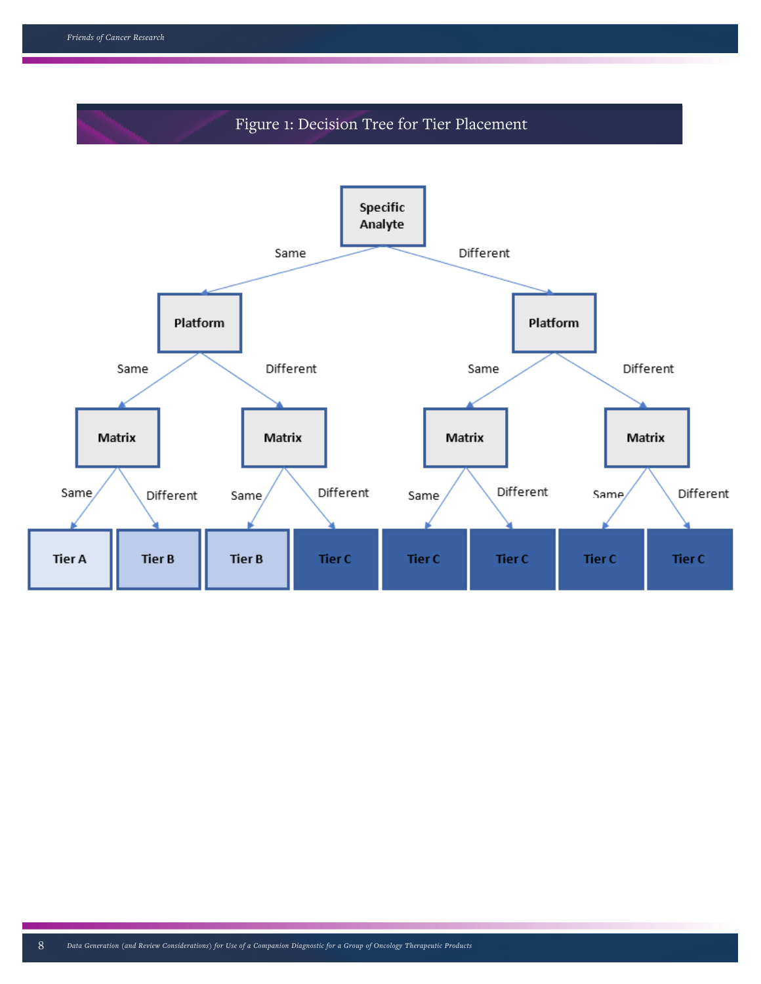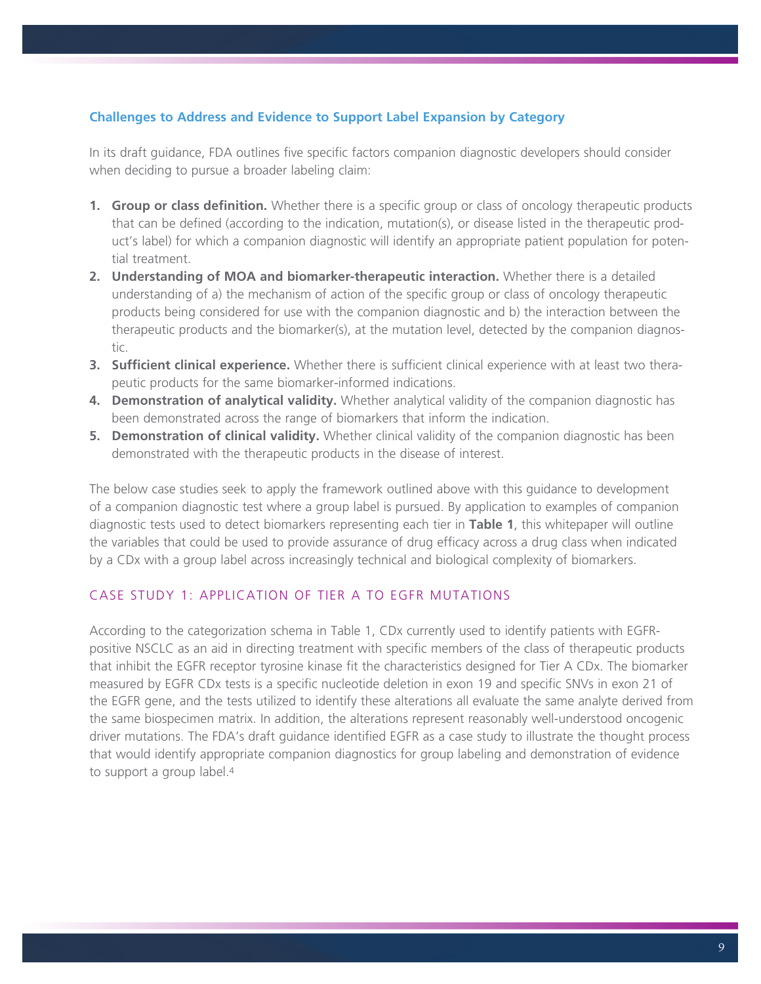## **Challenges to Address and Evidence to Support Label Expansion by Category**

In its draft guidance, FDA outlines five specific factors companion diagnostic developers should consider when deciding to pursue a broader labeling claim:

- **1. Group or class definition.** Whether there is a specific group or class of oncology therapeutic products that can be defined (according to the indication, mutation(s), or disease listed in the therapeutic product's label) for which a companion diagnostic will identify an appropriate patient population for potential treatment.
- **2. Understanding of MOA and biomarker-therapeutic interaction.** Whether there is a detailed understanding of a) the mechanism of action of the specific group or class of oncology therapeutic products being considered for use with the companion diagnostic and b) the interaction between the therapeutic products and the biomarker(s), at the mutation level, detected by the companion diagnostic.
- **3. Sufficient clinical experience.** Whether there is sufficient clinical experience with at least two therapeutic products for the same biomarker-informed indications.
- **4. Demonstration of analytical validity.** Whether analytical validity of the companion diagnostic has been demonstrated across the range of biomarkers that inform the indication.
- **5. Demonstration of clinical validity.** Whether clinical validity of the companion diagnostic has been demonstrated with the therapeutic products in the disease of interest.

The below case studies seek to apply the framework outlined above with this guidance to development of a companion diagnostic test where a group label is pursued. By application to examples of companion diagnostic tests used to detect biomarkers representing each tier in **Table 1**, this whitepaper will outline the variables that could be used to provide assurance of drug efficacy across a drug class when indicated by a CDx with a group label across increasingly technical and biological complexity of biomarkers.

# CASE STUDY 1: APPLICATION OF TIER A TO EGFR MUTATIONS

According to the categorization schema in Table 1, CDx currently used to identify patients with EGFRpositive NSCLC as an aid in directing treatment with specific members of the class of therapeutic products that inhibit the EGFR receptor tyrosine kinase fit the characteristics designed for Tier A CDx. The biomarker measured by EGFR CDx tests is a specific nucleotide deletion in exon 19 and specific SNVs in exon 21 of the EGFR gene, and the tests utilized to identify these alterations all evaluate the same analyte derived from the same biospecimen matrix. In addition, the alterations represent reasonably well-understood oncogenic driver mutations. The FDA's draft guidance identified EGFR as a case study to illustrate the thought process that would identify appropriate companion diagnostics for group labeling and demonstration of evidence to support a group label.4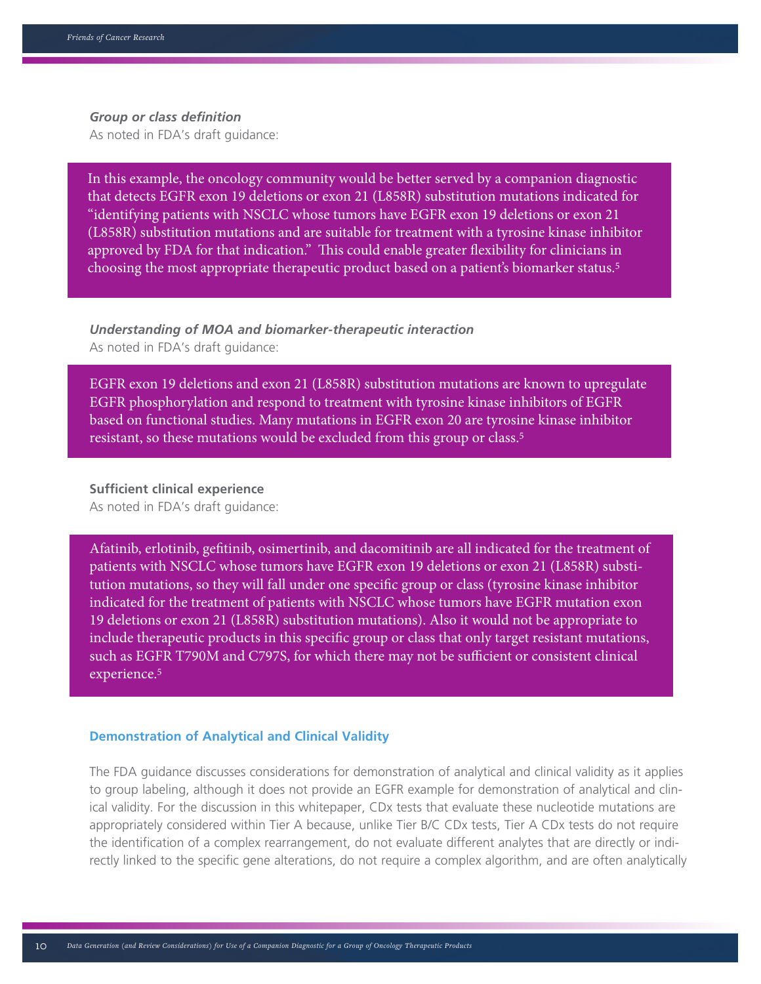#### Table 5. Mock Plan for RTOR Expansion *Group or class definition*

As noted in FDA's draft guidance:

In this example, the oncology community would be better served by a companion diagnostic that detects EGFR exon 19 deletions or exon 21 (L858R) substitution mutations indicated for "identifying patients with NSCLC whose tumors have EGFR exon 19 deletions or exon 21 (L858R) substitution mutations and are suitable for treatment with a tyrosine kinase inhibitor approved by FDA for that indication." This could enable greater flexibility for clinicians in choosing the most appropriate therapeutic product based on a patient's biomarker status.5

*Understanding of MOA and biomarker-therapeutic interaction* As noted in FDA's draft guidance:

EGFR exon 19 deletions and exon 21 (L858R) substitution mutations are known to upregulate EGFR phosphorylation and respond to treatment with tyrosine kinase inhibitors of EGFR based on functional studies. Many mutations in EGFR exon 20 are tyrosine kinase inhibitor resistant, so these mutations would be excluded from this group or class.5

### **Sufficient clinical experience**

As noted in FDA's draft guidance:

Afatinib, erlotinib, gefitinib, osimertinib, and dacomitinib are all indicated for the treatment of patients with NSCLC whose tumors have EGFR exon 19 deletions or exon 21 (L858R) substitution mutations, so they will fall under one specific group or class (tyrosine kinase inhibitor indicated for the treatment of patients with NSCLC whose tumors have EGFR mutation exon 19 deletions or exon 21 (L858R) substitution mutations). Also it would not be appropriate to include therapeutic products in this specific group or class that only target resistant mutations, such as EGFR T790M and C797S, for which there may not be sufficient or consistent clinical experience.5

#### **Demonstration of Analytical and Clinical Validity**

The FDA guidance discusses considerations for demonstration of analytical and clinical validity as it applies to group labeling, although it does not provide an EGFR example for demonstration of analytical and clinical validity. For the discussion in this whitepaper, CDx tests that evaluate these nucleotide mutations are appropriately considered within Tier A because, unlike Tier B/C CDx tests, Tier A CDx tests do not require the identification of a complex rearrangement, do not evaluate different analytes that are directly or indirectly linked to the specific gene alterations, do not require a complex algorithm, and are often analytically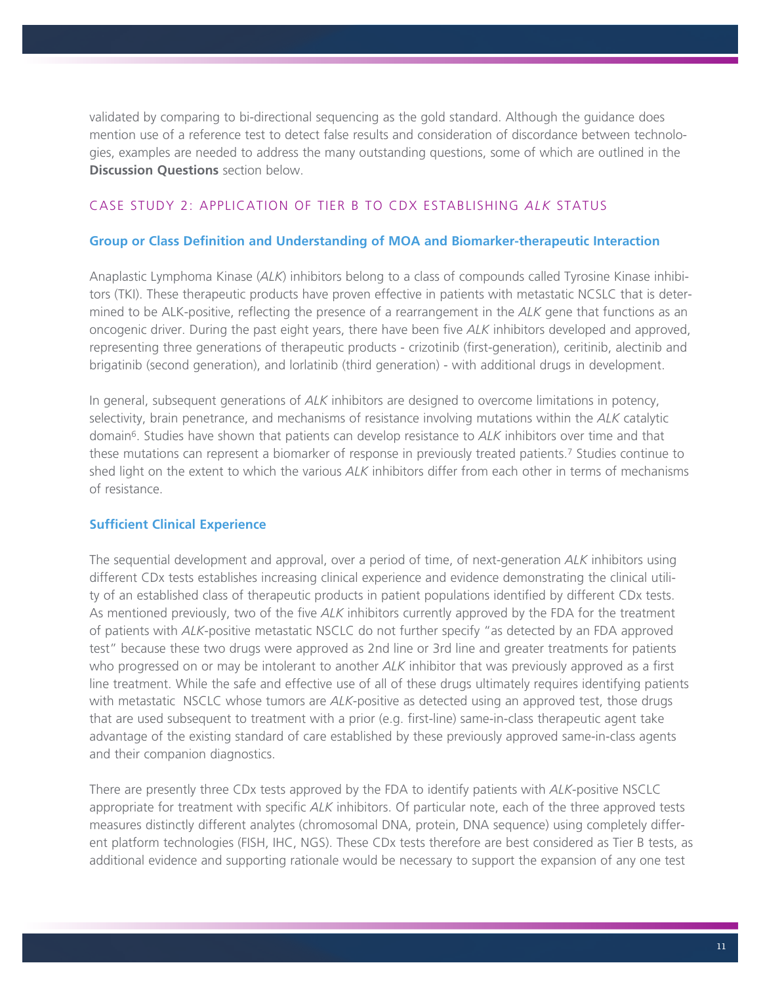validated by comparing to bi-directional sequencing as the gold standard. Although the guidance does mention use of a reference test to detect false results and consideration of discordance between technologies, examples are needed to address the many outstanding questions, some of which are outlined in the **Discussion Questions** section below.

## CASE STUDY 2: APPLICATION OF TIER B TO CDX ESTABLISHING *ALK* STATUS

### **Group or Class Definition and Understanding of MOA and Biomarker-therapeutic Interaction**

Anaplastic Lymphoma Kinase (*ALK*) inhibitors belong to a class of compounds called Tyrosine Kinase inhibitors (TKI). These therapeutic products have proven effective in patients with metastatic NCSLC that is determined to be ALK-positive, reflecting the presence of a rearrangement in the *ALK* gene that functions as an oncogenic driver. During the past eight years, there have been five *ALK* inhibitors developed and approved, representing three generations of therapeutic products - crizotinib (first-generation), ceritinib, alectinib and brigatinib (second generation), and lorlatinib (third generation) - with additional drugs in development.

In general, subsequent generations of *ALK* inhibitors are designed to overcome limitations in potency, selectivity, brain penetrance, and mechanisms of resistance involving mutations within the *ALK* catalytic domain6. Studies have shown that patients can develop resistance to *ALK* inhibitors over time and that these mutations can represent a biomarker of response in previously treated patients.7 Studies continue to shed light on the extent to which the various *ALK* inhibitors differ from each other in terms of mechanisms of resistance.

## **Sufficient Clinical Experience**

The sequential development and approval, over a period of time, of next-generation *ALK* inhibitors using different CDx tests establishes increasing clinical experience and evidence demonstrating the clinical utility of an established class of therapeutic products in patient populations identified by different CDx tests. As mentioned previously, two of the five *ALK* inhibitors currently approved by the FDA for the treatment of patients with *ALK*-positive metastatic NSCLC do not further specify "as detected by an FDA approved test" because these two drugs were approved as 2nd line or 3rd line and greater treatments for patients who progressed on or may be intolerant to another *ALK* inhibitor that was previously approved as a first line treatment. While the safe and effective use of all of these drugs ultimately requires identifying patients with metastatic NSCLC whose tumors are *ALK*-positive as detected using an approved test, those drugs that are used subsequent to treatment with a prior (e.g. first-line) same-in-class therapeutic agent take advantage of the existing standard of care established by these previously approved same-in-class agents and their companion diagnostics.

There are presently three CDx tests approved by the FDA to identify patients with *ALK*-positive NSCLC appropriate for treatment with specific *ALK* inhibitors. Of particular note, each of the three approved tests measures distinctly different analytes (chromosomal DNA, protein, DNA sequence) using completely different platform technologies (FISH, IHC, NGS). These CDx tests therefore are best considered as Tier B tests, as additional evidence and supporting rationale would be necessary to support the expansion of any one test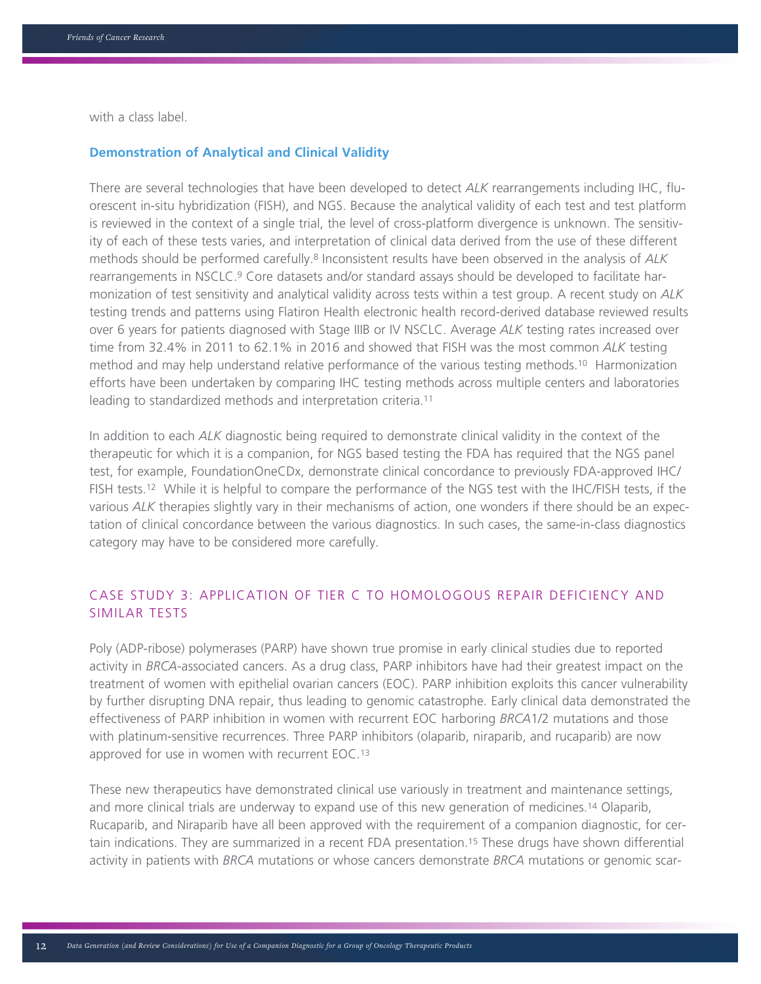with a class label.

### **Demonstration of Analytical and Clinical Validity**

There are several technologies that have been developed to detect *ALK* rearrangements including IHC, fluorescent in-situ hybridization (FISH), and NGS. Because the analytical validity of each test and test platform is reviewed in the context of a single trial, the level of cross-platform divergence is unknown. The sensitivity of each of these tests varies, and interpretation of clinical data derived from the use of these different methods should be performed carefully.8 Inconsistent results have been observed in the analysis of *ALK*  rearrangements in NSCLC.9 Core datasets and/or standard assays should be developed to facilitate harmonization of test sensitivity and analytical validity across tests within a test group. A recent study on *ALK* testing trends and patterns using Flatiron Health electronic health record-derived database reviewed results over 6 years for patients diagnosed with Stage IIIB or IV NSCLC. Average *ALK* testing rates increased over time from 32.4% in 2011 to 62.1% in 2016 and showed that FISH was the most common *ALK* testing method and may help understand relative performance of the various testing methods.10 Harmonization efforts have been undertaken by comparing IHC testing methods across multiple centers and laboratories leading to standardized methods and interpretation criteria.11

In addition to each *ALK* diagnostic being required to demonstrate clinical validity in the context of the therapeutic for which it is a companion, for NGS based testing the FDA has required that the NGS panel test, for example, FoundationOneCDx, demonstrate clinical concordance to previously FDA-approved IHC/ FISH tests.12 While it is helpful to compare the performance of the NGS test with the IHC/FISH tests, if the various *ALK* therapies slightly vary in their mechanisms of action, one wonders if there should be an expectation of clinical concordance between the various diagnostics. In such cases, the same-in-class diagnostics category may have to be considered more carefully.

# CASE STUDY 3: APPLICATION OF TIER C TO HOMOLOGOUS REPAIR DEFICIENCY AND SIMILAR TESTS

Poly (ADP-ribose) polymerases (PARP) have shown true promise in early clinical studies due to reported activity in *BRCA*-associated cancers. As a drug class, PARP inhibitors have had their greatest impact on the treatment of women with epithelial ovarian cancers (EOC). PARP inhibition exploits this cancer vulnerability by further disrupting DNA repair, thus leading to genomic catastrophe. Early clinical data demonstrated the effectiveness of PARP inhibition in women with recurrent EOC harboring *BRCA*1/2 mutations and those with platinum-sensitive recurrences. Three PARP inhibitors (olaparib, niraparib, and rucaparib) are now approved for use in women with recurrent EOC.13

These new therapeutics have demonstrated clinical use variously in treatment and maintenance settings, and more clinical trials are underway to expand use of this new generation of medicines.14 Olaparib, Rucaparib, and Niraparib have all been approved with the requirement of a companion diagnostic, for certain indications. They are summarized in a recent FDA presentation.15 These drugs have shown differential activity in patients with *BRCA* mutations or whose cancers demonstrate *BRCA* mutations or genomic scar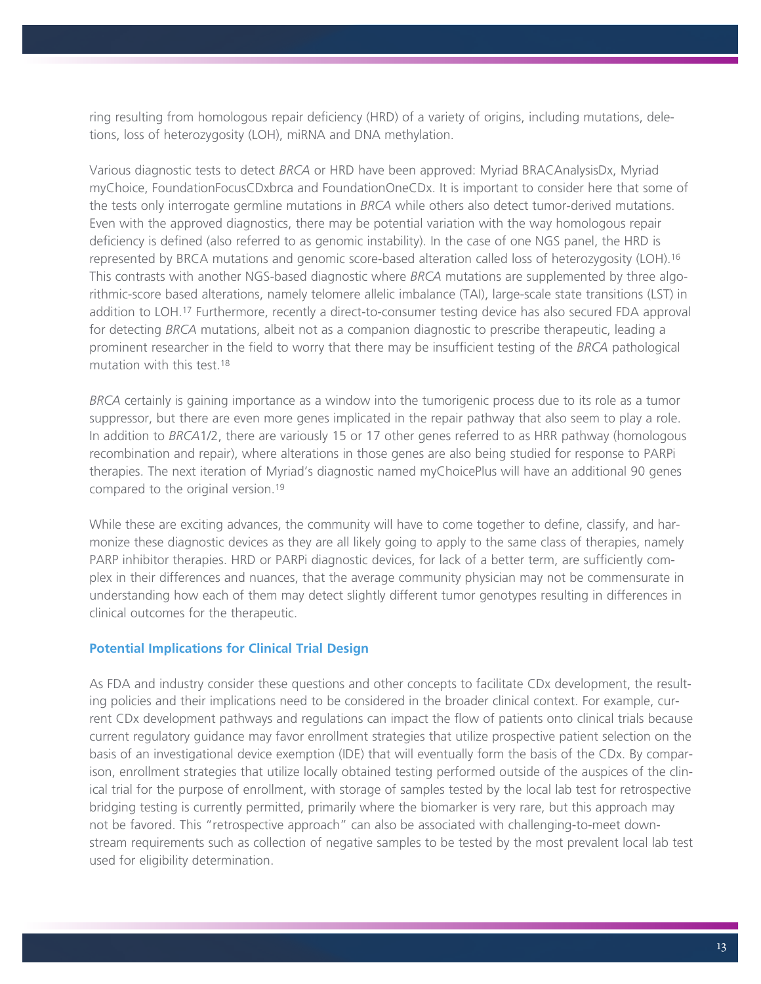ring resulting from homologous repair deficiency (HRD) of a variety of origins, including mutations, deletions, loss of heterozygosity (LOH), miRNA and DNA methylation.

Various diagnostic tests to detect *BRCA* or HRD have been approved: Myriad BRACAnalysisDx, Myriad myChoice, FoundationFocusCDxbrca and FoundationOneCDx. It is important to consider here that some of the tests only interrogate germline mutations in *BRCA* while others also detect tumor-derived mutations. Even with the approved diagnostics, there may be potential variation with the way homologous repair deficiency is defined (also referred to as genomic instability). In the case of one NGS panel, the HRD is represented by BRCA mutations and genomic score-based alteration called loss of heterozygosity (LOH).16 This contrasts with another NGS-based diagnostic where *BRCA* mutations are supplemented by three algorithmic-score based alterations, namely telomere allelic imbalance (TAI), large-scale state transitions (LST) in addition to LOH.17 Furthermore, recently a direct-to-consumer testing device has also secured FDA approval for detecting *BRCA* mutations, albeit not as a companion diagnostic to prescribe therapeutic, leading a prominent researcher in the field to worry that there may be insufficient testing of the *BRCA* pathological mutation with this test.18

*BRCA* certainly is gaining importance as a window into the tumorigenic process due to its role as a tumor suppressor, but there are even more genes implicated in the repair pathway that also seem to play a role. In addition to *BRCA*1/2, there are variously 15 or 17 other genes referred to as HRR pathway (homologous recombination and repair), where alterations in those genes are also being studied for response to PARPi therapies. The next iteration of Myriad's diagnostic named myChoicePlus will have an additional 90 genes compared to the original version.19

While these are exciting advances, the community will have to come together to define, classify, and harmonize these diagnostic devices as they are all likely going to apply to the same class of therapies, namely PARP inhibitor therapies. HRD or PARPi diagnostic devices, for lack of a better term, are sufficiently complex in their differences and nuances, that the average community physician may not be commensurate in understanding how each of them may detect slightly different tumor genotypes resulting in differences in clinical outcomes for the therapeutic.

## **Potential Implications for Clinical Trial Design**

As FDA and industry consider these questions and other concepts to facilitate CDx development, the resulting policies and their implications need to be considered in the broader clinical context. For example, current CDx development pathways and regulations can impact the flow of patients onto clinical trials because current regulatory guidance may favor enrollment strategies that utilize prospective patient selection on the basis of an investigational device exemption (IDE) that will eventually form the basis of the CDx. By comparison, enrollment strategies that utilize locally obtained testing performed outside of the auspices of the clinical trial for the purpose of enrollment, with storage of samples tested by the local lab test for retrospective bridging testing is currently permitted, primarily where the biomarker is very rare, but this approach may not be favored. This "retrospective approach" can also be associated with challenging-to-meet downstream requirements such as collection of negative samples to be tested by the most prevalent local lab test used for eligibility determination.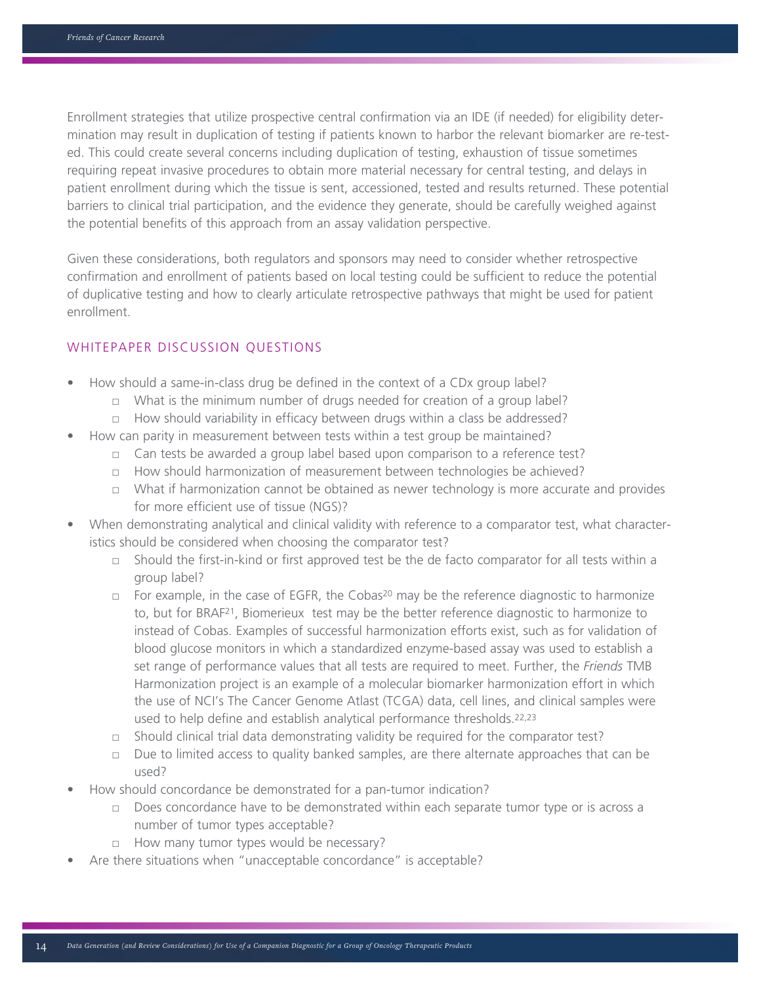Enrollment strategies that utilize prospective central confirmation via an IDE (if needed) for eligibility determination may result in duplication of testing if patients known to harbor the relevant biomarker are re-tested. This could create several concerns including duplication of testing, exhaustion of tissue sometimes requiring repeat invasive procedures to obtain more material necessary for central testing, and delays in patient enrollment during which the tissue is sent, accessioned, tested and results returned. These potential barriers to clinical trial participation, and the evidence they generate, should be carefully weighed against the potential benefits of this approach from an assay validation perspective.

Given these considerations, both regulators and sponsors may need to consider whether retrospective confirmation and enrollment of patients based on local testing could be sufficient to reduce the potential of duplicative testing and how to clearly articulate retrospective pathways that might be used for patient enrollment.

## WHITEPAPER DISCUSSION QUESTIONS

- How should a same-in-class drug be defined in the context of a CDx group label?
	- $\Box$  What is the minimum number of drugs needed for creation of a group label?
	- $\Box$  How should variability in efficacy between drugs within a class be addressed?
- How can parity in measurement between tests within a test group be maintained?
	- $\Box$  Can tests be awarded a group label based upon comparison to a reference test?
	- □ How should harmonization of measurement between technologies be achieved?
	- □ What if harmonization cannot be obtained as newer technology is more accurate and provides for more efficient use of tissue (NGS)?
- When demonstrating analytical and clinical validity with reference to a comparator test, what characteristics should be considered when choosing the comparator test?
	- □ Should the first-in-kind or first approved test be the de facto comparator for all tests within a group label?
	- $\Box$  For example, in the case of EGFR, the Cobas<sup>20</sup> may be the reference diagnostic to harmonize to, but for BRAF21, Biomerieux test may be the better reference diagnostic to harmonize to instead of Cobas. Examples of successful harmonization efforts exist, such as for validation of blood glucose monitors in which a standardized enzyme-based assay was used to establish a set range of performance values that all tests are required to meet. Further, the *Friends* TMB Harmonization project is an example of a molecular biomarker harmonization effort in which the use of NCI's The Cancer Genome Atlast (TCGA) data, cell lines, and clinical samples were used to help define and establish analytical performance thresholds.22,23
	- □ Should clinical trial data demonstrating validity be required for the comparator test?
	- $\Box$  Due to limited access to quality banked samples, are there alternate approaches that can be used?
- How should concordance be demonstrated for a pan-tumor indication?
	- $\Box$  Does concordance have to be demonstrated within each separate tumor type or is across a number of tumor types acceptable?
	- □ How many tumor types would be necessary?
- Are there situations when "unacceptable concordance" is acceptable?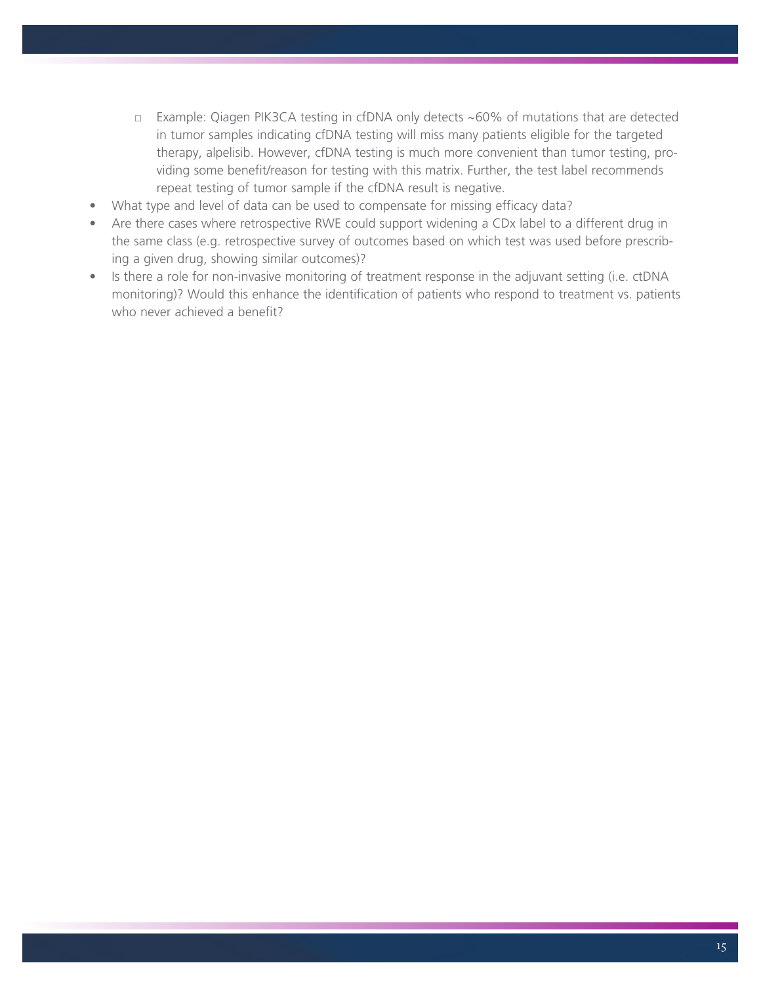- □ Example: Qiagen PIK3CA testing in cfDNA only detects ~60% of mutations that are detected in tumor samples indicating cfDNA testing will miss many patients eligible for the targeted therapy, alpelisib. However, cfDNA testing is much more convenient than tumor testing, providing some benefit/reason for testing with this matrix. Further, the test label recommends repeat testing of tumor sample if the cfDNA result is negative.
- What type and level of data can be used to compensate for missing efficacy data?
- Are there cases where retrospective RWE could support widening a CDx label to a different drug in the same class (e.g. retrospective survey of outcomes based on which test was used before prescribing a given drug, showing similar outcomes)?
- Is there a role for non-invasive monitoring of treatment response in the adjuvant setting (i.e. ctDNA monitoring)? Would this enhance the identification of patients who respond to treatment vs. patients who never achieved a benefit?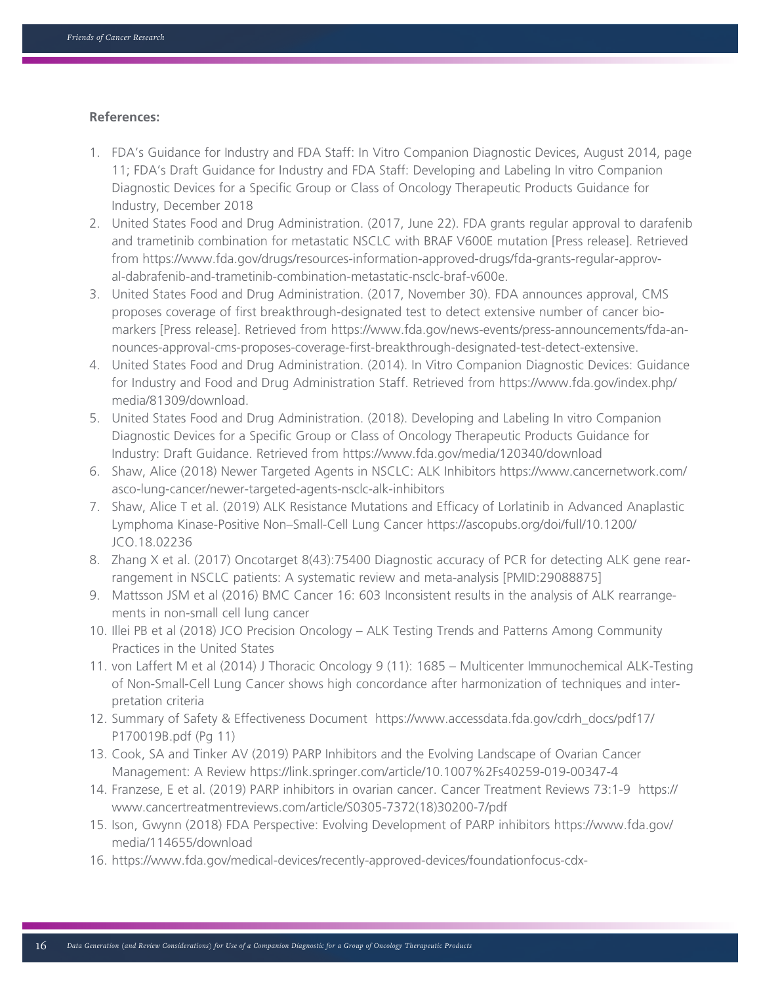### **References:**

- 1. FDA's Guidance for Industry and FDA Staff: In Vitro Companion Diagnostic Devices, August 2014, page 11; FDA's Draft Guidance for Industry and FDA Staff: Developing and Labeling In vitro Companion Diagnostic Devices for a Specific Group or Class of Oncology Therapeutic Products Guidance for Industry, December 2018
- 2. United States Food and Drug Administration. (2017, June 22). FDA grants regular approval to darafenib and trametinib combination for metastatic NSCLC with BRAF V600E mutation [Press release]. Retrieved from https://www.fda.gov/drugs/resources-information-approved-drugs/fda-grants-regular-approval-dabrafenib-and-trametinib-combination-metastatic-nsclc-braf-v600e.
- 3. United States Food and Drug Administration. (2017, November 30). FDA announces approval, CMS proposes coverage of first breakthrough-designated test to detect extensive number of cancer biomarkers [Press release]. Retrieved from https://www.fda.gov/news-events/press-announcements/fda-announces-approval-cms-proposes-coverage-first-breakthrough-designated-test-detect-extensive.
- 4. United States Food and Drug Administration. (2014). In Vitro Companion Diagnostic Devices: Guidance for Industry and Food and Drug Administration Staff. Retrieved from https://www.fda.gov/index.php/ media/81309/download.
- 5. United States Food and Drug Administration. (2018). Developing and Labeling In vitro Companion Diagnostic Devices for a Specific Group or Class of Oncology Therapeutic Products Guidance for Industry: Draft Guidance. Retrieved from https://www.fda.gov/media/120340/download
- 6. Shaw, Alice (2018) Newer Targeted Agents in NSCLC: ALK Inhibitors https://www.cancernetwork.com/ asco-lung-cancer/newer-targeted-agents-nsclc-alk-inhibitors
- 7. Shaw, Alice T et al. (2019) ALK Resistance Mutations and Efficacy of Lorlatinib in Advanced Anaplastic Lymphoma Kinase-Positive Non–Small-Cell Lung Cancer https://ascopubs.org/doi/full/10.1200/ JCO.18.02236
- 8. Zhang X et al. (2017) Oncotarget 8(43):75400 Diagnostic accuracy of PCR for detecting ALK gene rearrangement in NSCLC patients: A systematic review and meta-analysis [PMID:29088875]
- 9. Mattsson JSM et al (2016) BMC Cancer 16: 603 Inconsistent results in the analysis of ALK rearrangements in non-small cell lung cancer
- 10. Illei PB et al (2018) JCO Precision Oncology ALK Testing Trends and Patterns Among Community Practices in the United States
- 11. von Laffert M et al (2014) J Thoracic Oncology 9 (11): 1685 Multicenter Immunochemical ALK-Testing of Non-Small-Cell Lung Cancer shows high concordance after harmonization of techniques and interpretation criteria
- 12. Summary of Safety & Effectiveness Document https://www.accessdata.fda.gov/cdrh\_docs/pdf17/ P170019B.pdf (Pg 11)
- 13. Cook, SA and Tinker AV (2019) PARP Inhibitors and the Evolving Landscape of Ovarian Cancer Management: A Review https://link.springer.com/article/10.1007%2Fs40259-019-00347-4
- 14. Franzese, E et al. (2019) PARP inhibitors in ovarian cancer. Cancer Treatment Reviews 73:1-9 https:// www.cancertreatmentreviews.com/article/S0305-7372(18)30200-7/pdf
- 15. Ison, Gwynn (2018) FDA Perspective: Evolving Development of PARP inhibitors https://www.fda.gov/ media/114655/download
- 16. https://www.fda.gov/medical-devices/recently-approved-devices/foundationfocus-cdx-